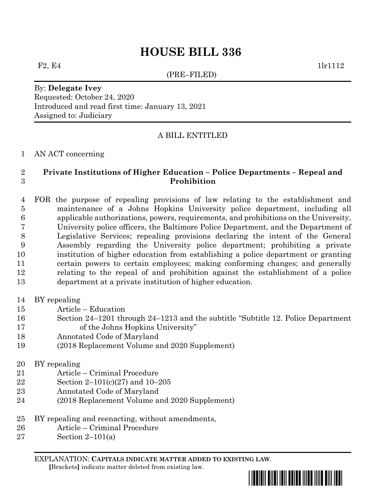# **HOUSE BILL 336**

(PRE–FILED)

F2, E4  $1\text{lr}11112$ 

# By: **Delegate Ivey** Requested: October 24, 2020 Introduced and read first time: January 13, 2021 Assigned to: Judiciary

# A BILL ENTITLED

#### AN ACT concerning

## **Private Institutions of Higher Education – Police Departments – Repeal and Prohibition**

 FOR the purpose of repealing provisions of law relating to the establishment and maintenance of a Johns Hopkins University police department, including all applicable authorizations, powers, requirements, and prohibitions on the University, University police officers, the Baltimore Police Department, and the Department of Legislative Services; repealing provisions declaring the intent of the General Assembly regarding the University police department; prohibiting a private institution of higher education from establishing a police department or granting certain powers to certain employees; making conforming changes; and generally relating to the repeal of and prohibition against the establishment of a police department at a private institution of higher education.

- BY repealing
- Article Education
- Section 24–1201 through 24–1213 and the subtitle "Subtitle 12. Police Department 17 of the Johns Hopkins University"
- Annotated Code of Maryland
- (2018 Replacement Volume and 2020 Supplement)

# BY repealing

- Article Criminal Procedure
- Section 2–101(c)(27) and 10–205
- Annotated Code of Maryland
- (2018 Replacement Volume and 2020 Supplement)
- BY repealing and reenacting, without amendments,
- Article Criminal Procedure
- Section 2–101(a)

EXPLANATION: **CAPITALS INDICATE MATTER ADDED TO EXISTING LAW**.

 **[**Brackets**]** indicate matter deleted from existing law.

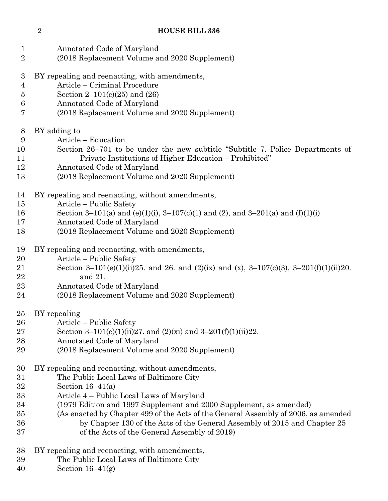Annotated Code of Maryland (2018 Replacement Volume and 2020 Supplement) BY repealing and reenacting, with amendments, Article – Criminal Procedure Section 2–101(c)(25) and (26) Annotated Code of Maryland (2018 Replacement Volume and 2020 Supplement) BY adding to Article – Education Section 26–701 to be under the new subtitle "Subtitle 7. Police Departments of Private Institutions of Higher Education – Prohibited" Annotated Code of Maryland (2018 Replacement Volume and 2020 Supplement) BY repealing and reenacting, without amendments, Article – Public Safety Section 3–101(a) and (e)(1)(i), 3–107(c)(1) and (2), and 3–201(a) and (f)(1)(i) Annotated Code of Maryland (2018 Replacement Volume and 2020 Supplement) BY repealing and reenacting, with amendments, Article – Public Safety 21 Section 3–101(e)(1)(ii)25. and 26. and (2)(ix) and (x), 3–107(c)(3), 3–201(f)(1)(ii)20. and 21. Annotated Code of Maryland (2018 Replacement Volume and 2020 Supplement) BY repealing Article – Public Safety 27 Section 3–101(e)(1)(ii)27. and (2)(xi) and 3–201(f)(1)(ii)22. Annotated Code of Maryland (2018 Replacement Volume and 2020 Supplement) BY repealing and reenacting, without amendments, The Public Local Laws of Baltimore City Section 16–41(a) Article 4 – Public Local Laws of Maryland (1979 Edition and 1997 Supplement and 2000 Supplement, as amended) (As enacted by Chapter 499 of the Acts of the General Assembly of 2006, as amended by Chapter 130 of the Acts of the General Assembly of 2015 and Chapter 25 of the Acts of the General Assembly of 2019) BY repealing and reenacting, with amendments,

- The Public Local Laws of Baltimore City
- Section 16–41(g)

#### **HOUSE BILL 336**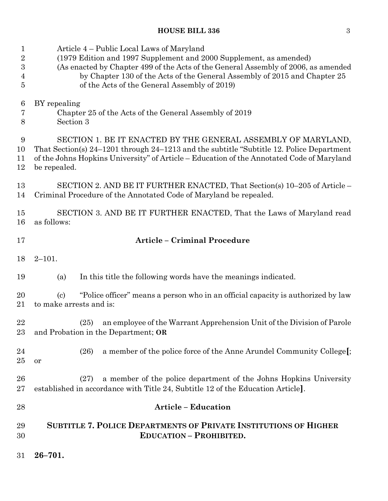# **HOUSE BILL 336** 3

| $\mathbf 1$    | Article 4 – Public Local Laws of Maryland                                                                                                                    |  |  |  |
|----------------|--------------------------------------------------------------------------------------------------------------------------------------------------------------|--|--|--|
| $\overline{2}$ | (1979 Edition and 1997 Supplement and 2000 Supplement, as amended)                                                                                           |  |  |  |
| 3              | (As enacted by Chapter 499 of the Acts of the General Assembly of 2006, as amended                                                                           |  |  |  |
| 4              | by Chapter 130 of the Acts of the General Assembly of 2015 and Chapter 25                                                                                    |  |  |  |
| $\overline{5}$ | of the Acts of the General Assembly of 2019)                                                                                                                 |  |  |  |
| 6              | BY repealing                                                                                                                                                 |  |  |  |
| 7              | Chapter 25 of the Acts of the General Assembly of 2019                                                                                                       |  |  |  |
| 8              | Section 3                                                                                                                                                    |  |  |  |
| 9              | SECTION 1. BE IT ENACTED BY THE GENERAL ASSEMBLY OF MARYLAND,                                                                                                |  |  |  |
| 10             | That Section(s) 24–1201 through 24–1213 and the subtitle "Subtitle 12. Police Department"                                                                    |  |  |  |
| 11             | of the Johns Hopkins University" of Article – Education of the Annotated Code of Maryland                                                                    |  |  |  |
| 12             | be repealed.                                                                                                                                                 |  |  |  |
| 13             | SECTION 2. AND BE IT FURTHER ENACTED, That Section(s) 10–205 of Article –                                                                                    |  |  |  |
| 14             | Criminal Procedure of the Annotated Code of Maryland be repealed.                                                                                            |  |  |  |
| 15             | SECTION 3. AND BE IT FURTHER ENACTED, That the Laws of Maryland read                                                                                         |  |  |  |
| 16             | as follows:                                                                                                                                                  |  |  |  |
| 17             | <b>Article - Criminal Procedure</b>                                                                                                                          |  |  |  |
| 18             | $2 - 101.$                                                                                                                                                   |  |  |  |
| 19             | In this title the following words have the meanings indicated.<br>(a)                                                                                        |  |  |  |
| 20<br>21       | "Police officer" means a person who in an official capacity is authorized by law<br>$\left( \mathrm{c} \right)$<br>to make arrests and is:                   |  |  |  |
| 22             | (25) an employee of the Warrant Apprehension Unit of the Division of Parole                                                                                  |  |  |  |
| $23\,$         | and Probation in the Department; OR                                                                                                                          |  |  |  |
| 24<br>25       | a member of the police force of the Anne Arundel Community College.<br>(26)<br>or                                                                            |  |  |  |
| 26<br>$27\,$   | a member of the police department of the Johns Hopkins University<br>(27)<br>established in accordance with Title 24, Subtitle 12 of the Education Article]. |  |  |  |
| 28             | <b>Article - Education</b>                                                                                                                                   |  |  |  |
| 29             | <b>SUBTITLE 7. POLICE DEPARTMENTS OF PRIVATE INSTITUTIONS OF HIGHER</b>                                                                                      |  |  |  |
| 30             | <b>EDUCATION - PROHIBITED.</b>                                                                                                                               |  |  |  |
| $31\,$         | $26 - 701.$                                                                                                                                                  |  |  |  |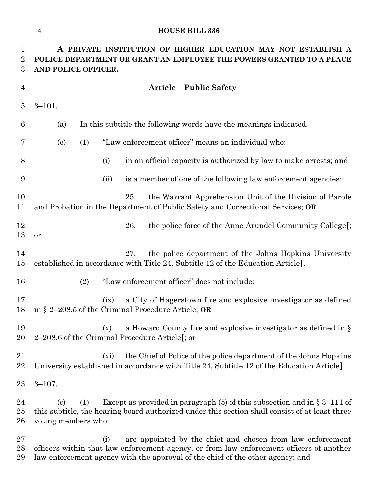## **HOUSE BILL 336**

| $\mathbf 1$<br>$\boldsymbol{2}$<br>$\boldsymbol{3}$ | A PRIVATE INSTITUTION OF HIGHER EDUCATION MAY NOT ESTABLISH A<br>POLICE DEPARTMENT OR GRANT AN EMPLOYEE THE POWERS GRANTED TO A PEACE<br>AND POLICE OFFICER. |      |                                                                                                                                                                              |  |
|-----------------------------------------------------|--------------------------------------------------------------------------------------------------------------------------------------------------------------|------|------------------------------------------------------------------------------------------------------------------------------------------------------------------------------|--|
| $\overline{4}$                                      |                                                                                                                                                              |      | <b>Article - Public Safety</b>                                                                                                                                               |  |
| $\overline{5}$                                      | $3 - 101.$                                                                                                                                                   |      |                                                                                                                                                                              |  |
| 6                                                   | (a)                                                                                                                                                          |      | In this subtitle the following words have the meanings indicated.                                                                                                            |  |
| 7                                                   | (e)<br>(1)                                                                                                                                                   |      | "Law enforcement officer" means an individual who:                                                                                                                           |  |
| 8                                                   |                                                                                                                                                              | (i)  | in an official capacity is authorized by law to make arrests; and                                                                                                            |  |
| 9                                                   |                                                                                                                                                              | (ii) | is a member of one of the following law enforcement agencies:                                                                                                                |  |
| 10<br>11                                            |                                                                                                                                                              |      | the Warrant Apprehension Unit of the Division of Parole<br>25.<br>and Probation in the Department of Public Safety and Correctional Services; OR                             |  |
| 12<br>13                                            | or                                                                                                                                                           |      | the police force of the Anne Arundel Community College[;<br>26.                                                                                                              |  |
| 14<br>15                                            |                                                                                                                                                              |      | 27.<br>the police department of the Johns Hopkins University<br>established in accordance with Title 24, Subtitle 12 of the Education Article].                              |  |
| 16                                                  | (2)                                                                                                                                                          |      | "Law enforcement officer" does not include:                                                                                                                                  |  |
| 17<br>18                                            |                                                                                                                                                              | (ix) | a City of Hagerstown fire and explosive investigator as defined<br>in § 2-208.5 of the Criminal Procedure Article; OR                                                        |  |
| 19<br>20                                            |                                                                                                                                                              |      | (x) a Howard County fire and explosive investigator as defined in $\S$<br>2–208.6 of the Criminal Procedure Article $\mathfrak{f}$ ; or                                      |  |
| 21<br>22                                            |                                                                                                                                                              | (xi) | the Chief of Police of the police department of the Johns Hopkins<br>University established in accordance with Title 24, Subtitle 12 of the Education Article.               |  |
| 23                                                  | $3 - 107$ .                                                                                                                                                  |      |                                                                                                                                                                              |  |
| 24<br>25<br>26                                      | (1)<br>$\left( \mathrm{c}\right)$<br>voting members who:                                                                                                     |      | Except as provided in paragraph $(5)$ of this subsection and in § 3–111 of<br>this subtitle, the hearing board authorized under this section shall consist of at least three |  |
| 27<br>28                                            |                                                                                                                                                              | (i)  | are appointed by the chief and chosen from law enforcement<br>officers within that law enforcement agency, or from law enforcement officers of another                       |  |

law enforcement agency with the approval of the chief of the other agency; and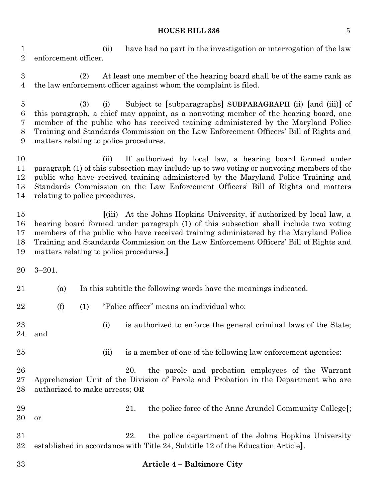#### **HOUSE BILL 336** 5

 (ii) have had no part in the investigation or interrogation of the law enforcement officer.

 (2) At least one member of the hearing board shall be of the same rank as the law enforcement officer against whom the complaint is filed.

 (3) (i) Subject to **[**subparagraphs**] SUBPARAGRAPH** (ii) **[**and (iii)**]** of this paragraph, a chief may appoint, as a nonvoting member of the hearing board, one member of the public who has received training administered by the Maryland Police Training and Standards Commission on the Law Enforcement Officers' Bill of Rights and matters relating to police procedures.

 (ii) If authorized by local law, a hearing board formed under paragraph (1) of this subsection may include up to two voting or nonvoting members of the public who have received training administered by the Maryland Police Training and Standards Commission on the Law Enforcement Officers' Bill of Rights and matters relating to police procedures.

 **[**(iii) At the Johns Hopkins University, if authorized by local law, a hearing board formed under paragraph (1) of this subsection shall include two voting members of the public who have received training administered by the Maryland Police Training and Standards Commission on the Law Enforcement Officers' Bill of Rights and matters relating to police procedures.**]**

3–201.

(a) In this subtitle the following words have the meanings indicated.

(f) (1) "Police officer" means an individual who:

 (i) is authorized to enforce the general criminal laws of the State; and

25 (ii) is a member of one of the following law enforcement agencies:

 20. the parole and probation employees of the Warrant Apprehension Unit of the Division of Parole and Probation in the Department who are authorized to make arrests; **OR**

 21. the police force of the Anne Arundel Community College**[**; or

 22. the police department of the Johns Hopkins University established in accordance with Title 24, Subtitle 12 of the Education Article**]**.

## **Article 4 – Baltimore City**